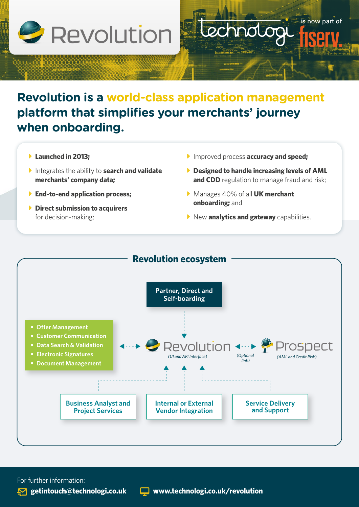

## **Revolution is a world-class application management platform that simplifies your merchants' journey when onboarding.**

- **Launched in 2013:**
- **P** Integrates the ability to **search and validate merchants' company data;**
- **End-to-end application process;**
- **Direct submission to acquirers** for decision-making;

**F** Improved process **accuracy and speed;** 

chnolor

**Designed to handle increasing levels of AML and CDD** regulation to manage fraud and risk;

is now part of

- **Manages 40% of all UK merchant onboarding;** and
- **New analytics and gateway** capabilities.



For further information: